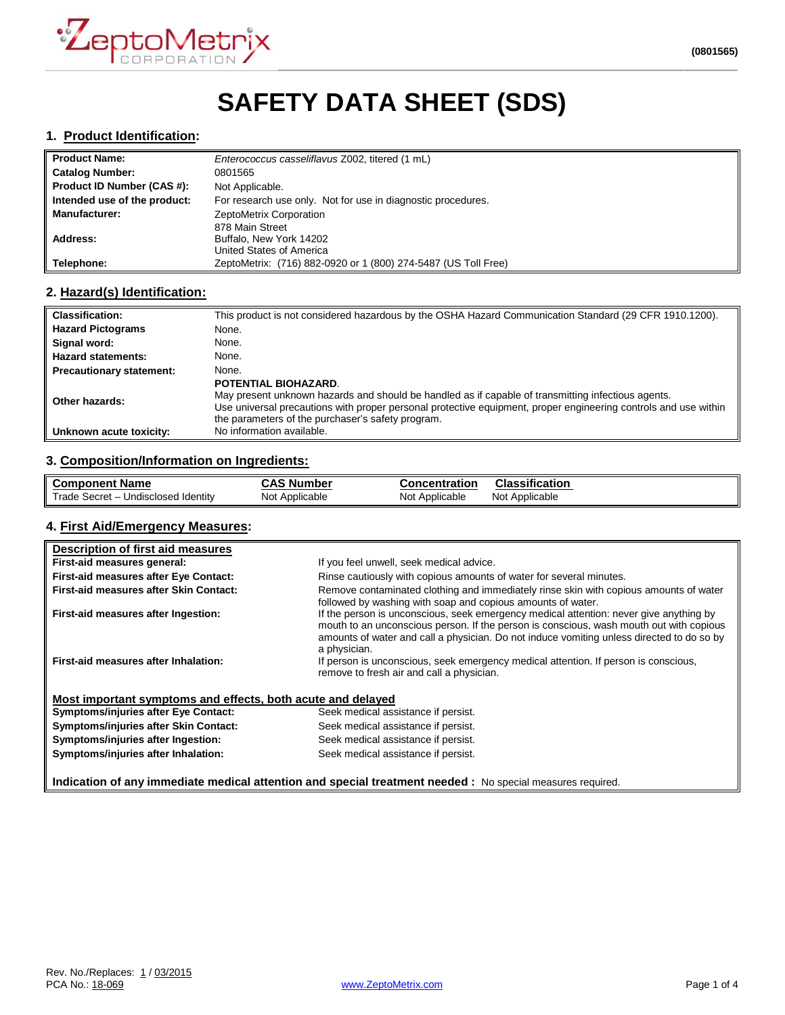

# **SAFETY DATA SHEET (SDS)**

#### **1. Product Identification:**

| <b>Product Name:</b>         | Enterococcus casseliflavus Z002, titered (1 mL)                |  |
|------------------------------|----------------------------------------------------------------|--|
| <b>Catalog Number:</b>       | 0801565                                                        |  |
| Product ID Number (CAS #):   | Not Applicable.                                                |  |
| Intended use of the product: | For research use only. Not for use in diagnostic procedures.   |  |
| <b>Manufacturer:</b>         | ZeptoMetrix Corporation                                        |  |
|                              | 878 Main Street                                                |  |
| Address:                     | Buffalo, New York 14202                                        |  |
|                              | United States of America                                       |  |
| Telephone:                   | ZeptoMetrix: (716) 882-0920 or 1 (800) 274-5487 (US Toll Free) |  |

#### **2. Hazard(s) Identification:**

| <b>Classification:</b>          | This product is not considered hazardous by the OSHA Hazard Communication Standard (29 CFR 1910.1200).                                                                                                                                                                                             |
|---------------------------------|----------------------------------------------------------------------------------------------------------------------------------------------------------------------------------------------------------------------------------------------------------------------------------------------------|
| <b>Hazard Pictograms</b>        | None.                                                                                                                                                                                                                                                                                              |
| Signal word:                    | None.                                                                                                                                                                                                                                                                                              |
| <b>Hazard statements:</b>       | None.                                                                                                                                                                                                                                                                                              |
| <b>Precautionary statement:</b> | None.                                                                                                                                                                                                                                                                                              |
| Other hazards:                  | POTENTIAL BIOHAZARD.<br>May present unknown hazards and should be handled as if capable of transmitting infectious agents.<br>Use universal precautions with proper personal protective equipment, proper engineering controls and use within<br>the parameters of the purchaser's safety program. |
| Unknown acute toxicity:         | No information available.                                                                                                                                                                                                                                                                          |

#### **3. Composition/Information on Ingredients:**

| ll Component Name                   | . Number<br>CAS | <b>Concentration</b> | <b>Classification</b> |
|-------------------------------------|-----------------|----------------------|-----------------------|
| Trade Secret – Undisclosed Identity | Not             | Not                  | Not                   |
|                                     | Applicable      | Applicable           | Applicable            |

#### **4. First Aid/Emergency Measures:**

| Description of first aid measures                                                                          |                                                                                                                                                                                                                                                                                                |  |
|------------------------------------------------------------------------------------------------------------|------------------------------------------------------------------------------------------------------------------------------------------------------------------------------------------------------------------------------------------------------------------------------------------------|--|
| First-aid measures general:                                                                                | If you feel unwell, seek medical advice.                                                                                                                                                                                                                                                       |  |
| <b>First-aid measures after Eye Contact:</b>                                                               | Rinse cautiously with copious amounts of water for several minutes.                                                                                                                                                                                                                            |  |
| <b>First-aid measures after Skin Contact:</b>                                                              | Remove contaminated clothing and immediately rinse skin with copious amounts of water<br>followed by washing with soap and copious amounts of water.                                                                                                                                           |  |
| First-aid measures after Ingestion:                                                                        | If the person is unconscious, seek emergency medical attention: never give anything by<br>mouth to an unconscious person. If the person is conscious, wash mouth out with copious<br>amounts of water and call a physician. Do not induce vomiting unless directed to do so by<br>a physician. |  |
| First-aid measures after Inhalation:                                                                       | If person is unconscious, seek emergency medical attention. If person is conscious,<br>remove to fresh air and call a physician.                                                                                                                                                               |  |
| Most important symptoms and effects, both acute and delayed                                                |                                                                                                                                                                                                                                                                                                |  |
| Symptoms/injuries after Eye Contact:                                                                       | Seek medical assistance if persist.                                                                                                                                                                                                                                                            |  |
| Symptoms/injuries after Skin Contact:                                                                      | Seek medical assistance if persist.                                                                                                                                                                                                                                                            |  |
| Symptoms/injuries after Ingestion:                                                                         | Seek medical assistance if persist.                                                                                                                                                                                                                                                            |  |
| Symptoms/injuries after Inhalation:                                                                        | Seek medical assistance if persist.                                                                                                                                                                                                                                                            |  |
| Indication of any immediate medical attention and special treatment needed : No special measures required. |                                                                                                                                                                                                                                                                                                |  |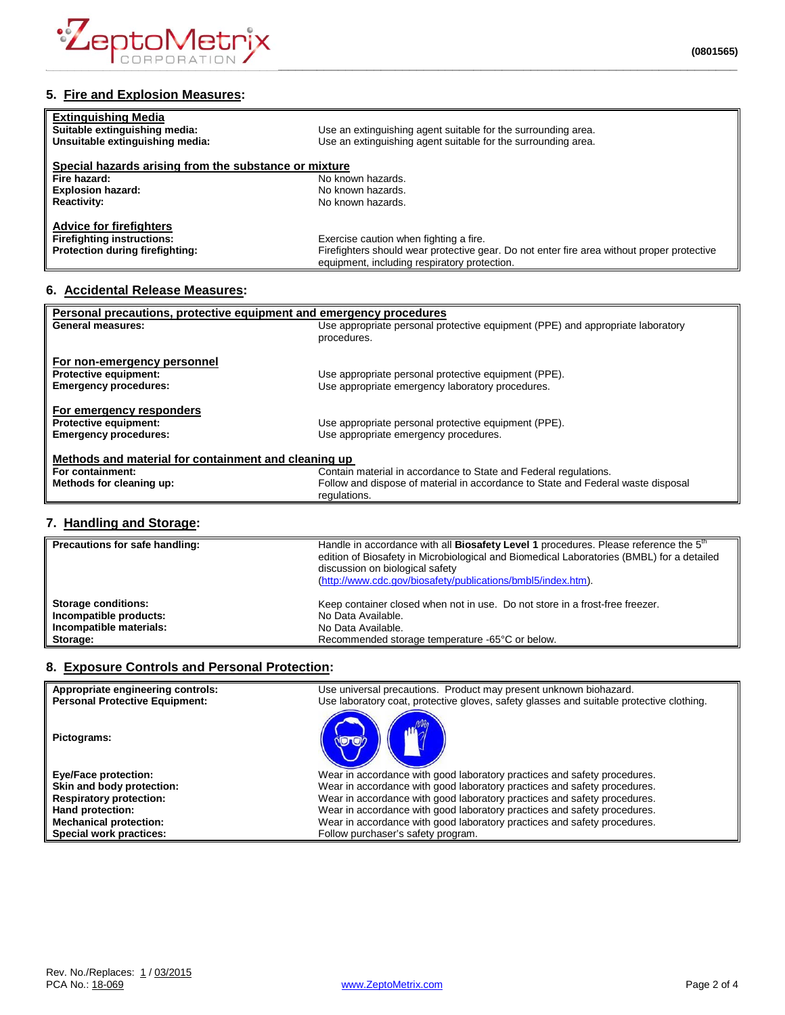

# **5. Fire and Explosion Measures:**

| <b>Extinguishing Media</b><br>Suitable extinguishing media:<br>Unsuitable extinguishing media: | Use an extinguishing agent suitable for the surrounding area.<br>Use an extinguishing agent suitable for the surrounding area. |
|------------------------------------------------------------------------------------------------|--------------------------------------------------------------------------------------------------------------------------------|
| Special hazards arising from the substance or mixture                                          |                                                                                                                                |
| Fire hazard:                                                                                   | No known hazards.                                                                                                              |
| <b>Explosion hazard:</b>                                                                       | No known hazards.                                                                                                              |
| <b>Reactivity:</b>                                                                             | No known hazards.                                                                                                              |
| <b>Advice for firefighters</b>                                                                 |                                                                                                                                |
| <b>Firefighting instructions:</b>                                                              | Exercise caution when fighting a fire.                                                                                         |
| Protection during firefighting:                                                                | Firefighters should wear protective gear. Do not enter fire area without proper protective                                     |
|                                                                                                | equipment, including respiratory protection.                                                                                   |

# **6. Accidental Release Measures:**

| Personal precautions, protective equipment and emergency procedures |                                                                                  |  |
|---------------------------------------------------------------------|----------------------------------------------------------------------------------|--|
| General measures:                                                   | Use appropriate personal protective equipment (PPE) and appropriate laboratory   |  |
|                                                                     | procedures.                                                                      |  |
|                                                                     |                                                                                  |  |
| For non-emergency personnel                                         |                                                                                  |  |
| <b>Protective equipment:</b>                                        | Use appropriate personal protective equipment (PPE).                             |  |
| <b>Emergency procedures:</b>                                        | Use appropriate emergency laboratory procedures.                                 |  |
|                                                                     |                                                                                  |  |
| For emergency responders                                            |                                                                                  |  |
| <b>Protective equipment:</b>                                        | Use appropriate personal protective equipment (PPE).                             |  |
| <b>Emergency procedures:</b>                                        | Use appropriate emergency procedures.                                            |  |
|                                                                     |                                                                                  |  |
| Methods and material for containment and cleaning up                |                                                                                  |  |
| For containment:                                                    | Contain material in accordance to State and Federal regulations.                 |  |
| Methods for cleaning up:                                            | Follow and dispose of material in accordance to State and Federal waste disposal |  |
|                                                                     | regulations.                                                                     |  |
|                                                                     |                                                                                  |  |

## **7. Handling and Storage:**

| Precautions for safe handling: | Handle in accordance with all Biosafety Level 1 procedures. Please reference the 5 <sup>th</sup><br>edition of Biosafety in Microbiological and Biomedical Laboratories (BMBL) for a detailed<br>discussion on biological safety<br>(http://www.cdc.gov/biosafety/publications/bmbl5/index.htm). |
|--------------------------------|--------------------------------------------------------------------------------------------------------------------------------------------------------------------------------------------------------------------------------------------------------------------------------------------------|
| <b>Storage conditions:</b>     | Keep container closed when not in use. Do not store in a frost-free freezer.                                                                                                                                                                                                                     |
| Incompatible products:         | No Data Available.                                                                                                                                                                                                                                                                               |
| Incompatible materials:        | No Data Available.                                                                                                                                                                                                                                                                               |
| Storage:                       | Recommended storage temperature -65°C or below.                                                                                                                                                                                                                                                  |

## **8. Exposure Controls and Personal Protection:**

| Appropriate engineering controls:<br><b>Personal Protective Equipment:</b> | Use universal precautions. Product may present unknown biohazard.<br>Use laboratory coat, protective gloves, safety glasses and suitable protective clothing. |
|----------------------------------------------------------------------------|---------------------------------------------------------------------------------------------------------------------------------------------------------------|
| Pictograms:                                                                |                                                                                                                                                               |
| <b>Eye/Face protection:</b>                                                | Wear in accordance with good laboratory practices and safety procedures.                                                                                      |
| Skin and body protection:                                                  | Wear in accordance with good laboratory practices and safety procedures.                                                                                      |
| <b>Respiratory protection:</b>                                             | Wear in accordance with good laboratory practices and safety procedures.                                                                                      |
| Hand protection:                                                           | Wear in accordance with good laboratory practices and safety procedures.                                                                                      |
| <b>Mechanical protection:</b>                                              | Wear in accordance with good laboratory practices and safety procedures.                                                                                      |
| Special work practices:                                                    | Follow purchaser's safety program.                                                                                                                            |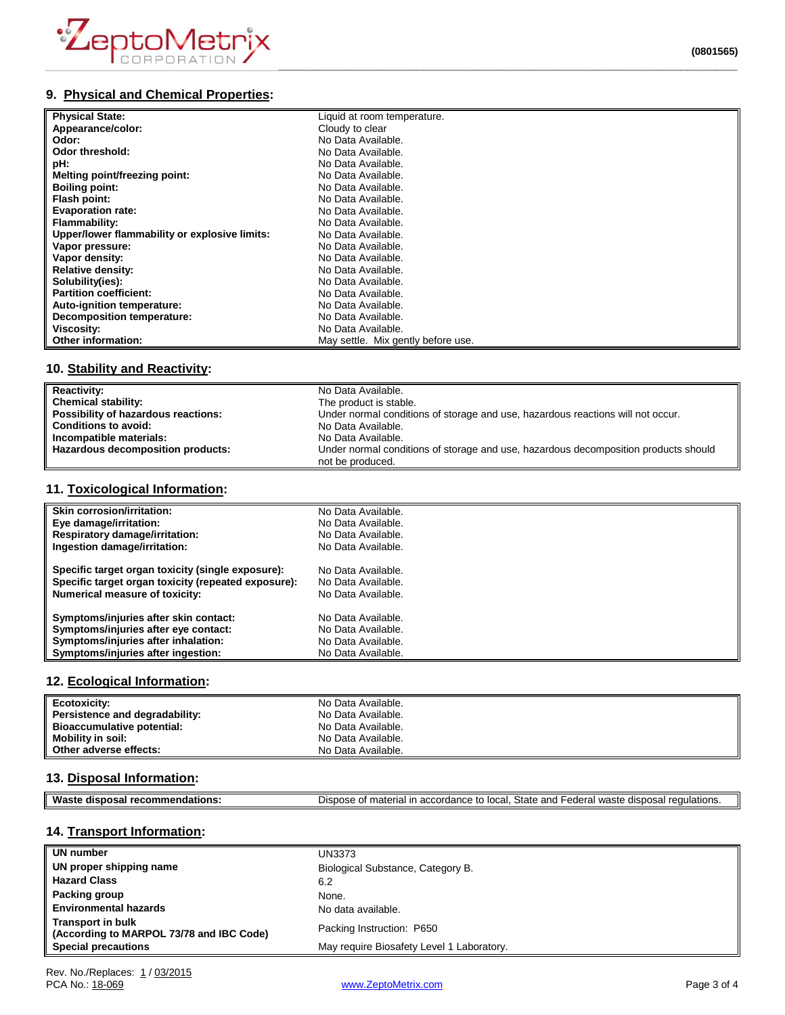

## **9. Physical and Chemical Properties:**

| <b>Physical State:</b>                        | Liquid at room temperature.        |
|-----------------------------------------------|------------------------------------|
| Appearance/color:                             | Cloudy to clear                    |
| Odor:                                         | No Data Available.                 |
| Odor threshold:                               | No Data Available.                 |
| pH:                                           | No Data Available.                 |
| Melting point/freezing point:                 | No Data Available.                 |
| <b>Boiling point:</b>                         | No Data Available.                 |
| Flash point:                                  | No Data Available.                 |
| <b>Evaporation rate:</b>                      | No Data Available.                 |
| Flammability:                                 | No Data Available.                 |
| Upper/lower flammability or explosive limits: | No Data Available.                 |
| Vapor pressure:                               | No Data Available.                 |
| Vapor density:                                | No Data Available.                 |
| <b>Relative density:</b>                      | No Data Available.                 |
| Solubility(ies):                              | No Data Available.                 |
| <b>Partition coefficient:</b>                 | No Data Available.                 |
| Auto-ignition temperature:                    | No Data Available.                 |
| Decomposition temperature:                    | No Data Available.                 |
| Viscosity:                                    | No Data Available.                 |
| Other information:                            | May settle. Mix gently before use. |

# **10. Stability and Reactivity:**

| <b>Reactivity:</b>                  | No Data Available.                                                                                      |
|-------------------------------------|---------------------------------------------------------------------------------------------------------|
| <b>Chemical stability:</b>          | The product is stable.                                                                                  |
| Possibility of hazardous reactions: | Under normal conditions of storage and use, hazardous reactions will not occur.                         |
| <b>Conditions to avoid:</b>         | No Data Available.                                                                                      |
| Incompatible materials:             | No Data Available.                                                                                      |
| Hazardous decomposition products:   | Under normal conditions of storage and use, hazardous decomposition products should<br>not be produced. |

## **11. Toxicological Information:**

| <b>Skin corrosion/irritation:</b>                   | No Data Available. |
|-----------------------------------------------------|--------------------|
| Eye damage/irritation:                              | No Data Available. |
| <b>Respiratory damage/irritation:</b>               | No Data Available. |
| Ingestion damage/irritation:                        | No Data Available. |
| Specific target organ toxicity (single exposure):   | No Data Available. |
| Specific target organ toxicity (repeated exposure): | No Data Available. |
| <b>Numerical measure of toxicity:</b>               | No Data Available. |
| Symptoms/injuries after skin contact:               | No Data Available. |
| Symptoms/injuries after eye contact:                | No Data Available. |
| Symptoms/injuries after inhalation:                 | No Data Available. |
| Symptoms/injuries after ingestion:                  | No Data Available. |

#### **12. Ecological Information:**

| Ecotoxicity:                   | No Data Available. |
|--------------------------------|--------------------|
| Persistence and degradability: | No Data Available. |
| Bioaccumulative potential:     | No Data Available. |
| Mobility in soil:              | No Data Available. |
| Other adverse effects:         | No Data Available. |

#### **13. Disposal Information:**

| Mac<br>ons<br> | State<br>$\sim$<br>----<br>™ulatio.<br>one.<br>waste<br>.0000<br>$\sim$ N $\sim$ r $\sim$<br>פחה<br>. к. н.<br><br>наг<br>1.7111.7<br>,,,,,,,,<br><b>GUL</b><br>п.<br>יי ה<br>. |
|----------------|---------------------------------------------------------------------------------------------------------------------------------------------------------------------------------|
|                |                                                                                                                                                                                 |

## **14. Transport Information:**

| UN number                                                            | UN3373                                    |
|----------------------------------------------------------------------|-------------------------------------------|
| UN proper shipping name                                              | Biological Substance, Category B.         |
| <b>Hazard Class</b>                                                  | 6.2                                       |
| Packing group                                                        | None.                                     |
| <b>Environmental hazards</b>                                         | No data available.                        |
| <b>Transport in bulk</b><br>(According to MARPOL 73/78 and IBC Code) | Packing Instruction: P650                 |
| <b>Special precautions</b>                                           | May require Biosafety Level 1 Laboratory. |

[www.ZeptoMetrix.com](http://www.zeptometrix.com/) Page 3 of 4